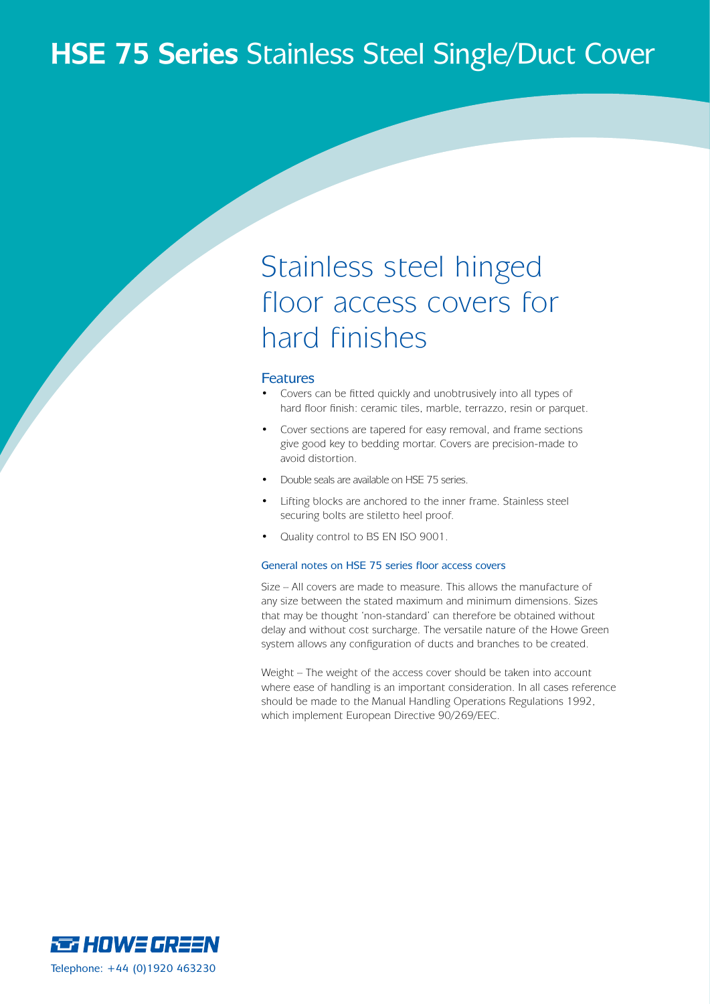### **HSE 75 Series** Stainless Steel Single/Duct Cover

## Stainless steel hinged floor access covers for hard finishes

#### Features

- Covers can be fitted quickly and unobtrusively into all types of hard floor finish: ceramic tiles, marble, terrazzo, resin or parquet.
- Cover sections are tapered for easy removal, and frame sections give good key to bedding mortar. Covers are precision-made to avoid distortion.
- Double seals are available on HSE 75 series.
- Lifting blocks are anchored to the inner frame. Stainless steel securing bolts are stiletto heel proof.
- Quality control to BS EN ISO 9001.

#### General notes on HSE 75 series floor access covers

Size – All covers are made to measure. This allows the manufacture of any size between the stated maximum and minimum dimensions. Sizes that may be thought 'non-standard' can therefore be obtained without delay and without cost surcharge. The versatile nature of the Howe Green system allows any configuration of ducts and branches to be created.

Weight – The weight of the access cover should be taken into account where ease of handling is an important consideration. In all cases reference should be made to the Manual Handling Operations Regulations 1992, which implement European Directive 90/269/EEC.